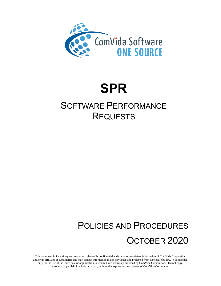

# **SPR**

### SOFTWARE PERFORMANCE **REQUESTS**

## POLICIES AND PROCEDURES OCTOBER 2020

This document in its entirety and any extract thereof is confidential and contains proprietary information of ComVida Corporation and/or its affiliates or subsidiaries and may contain information that is privileged and protected from disclosure by law. It is intended only for the use of the individual or organization to whom it was expressly provided by ComVida Corporation. Do not copy, reproduce or publish, in whole or in part, without the express written consent of ComVida Corporation.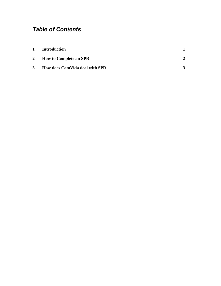#### *Table of Contents*

| 1           | <b>Introduction</b>            |  |
|-------------|--------------------------------|--|
| $2^{\circ}$ | <b>How to Complete an SPR</b>  |  |
| 3           | How does ComVida deal with SPR |  |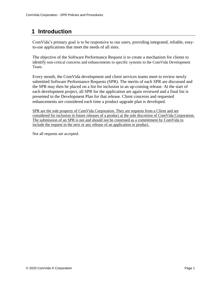#### <span id="page-2-0"></span>**1 Introduction**

ComVida's primary goal is to be responsive to our users, providing integrated, reliable, easyto-use applications that meet the needs of all sites.

The objective of the Software Performance Request is to create a mechanism for clients to identify non-critical concerns and enhancements to specific systems to the ComVida Development Team.

Every month, the ComVida development and client services teams meet to review newly submitted Software Performance Requests (SPR). The merits of each SPR are discussed and the SPR may then be placed on a list for inclusion in an up-coming release. At the start of each development project, all SPR for the application are again reviewed and a final list is presented in the Development Plan for that release. Client concerns and requested enhancements are considered each time a product upgrade plan is developed.

SPR are the sole property of ComVida Corporation. They are requests from a Client and are considered for inclusion in future releases of a product at the sole discretion of ComVida Corporation. The submission of an SPR is not and should not be construed as a commitment by ComVida to include the request in the next or any release of an application or product.

Not all requests are accepted.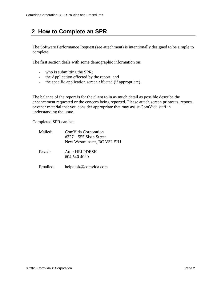#### <span id="page-3-0"></span>**2 How to Complete an SPR**

The Software Performance Request (see attachment) is intentionally designed to be simple to complete.

The first section deals with some demographic information on:

- who is submitting the SPR;
- the Application effected by the report; and
- the specific application screen effected (if appropriate).

The balance of the report is for the client to in as much detail as possible describe the enhancement requested or the concern being reported. Please attach screen printouts, reports or other material that you consider appropriate that may assist ComVida staff in understanding the issue.

Completed SPR can be:

| Mailed:  | ComVida Corporation<br>$\text{\#327} - 555$ Sixth Street<br>New Westminster, BC V3L 5H1 |
|----------|-----------------------------------------------------------------------------------------|
| Faxed:   | Attn: HELPDESK<br>604 540 4020                                                          |
| Emailed: | helpdesk@comvida.com                                                                    |